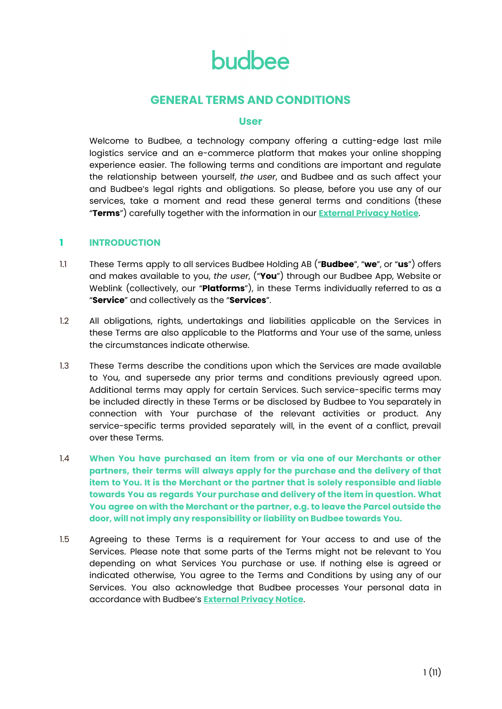# **GENERAL TERMS AND CONDITIONS**

### **User**

Welcome to Budbee, a technology company offering a cutting-edge last mile logistics service and an e-commerce platform that makes your online shopping experience easier. The following terms and conditions are important and regulate the relationship between yourself, *the user*, and Budbee and as such affect your and Budbee's legal rights and obligations. So please, before you use any of our services, take a moment and read these general terms and conditions (these "**Terms**") carefully together with the information in our **[External](http://budbee.com/en/external-privacy-notice) Privacy Notice**.

# **1 INTRODUCTION**

- 1.1 These Terms apply to all services Budbee Holding AB ("**Budbee**", "**we**", or "**us**") offers and makes available to you, *the user*, ("**You**") through our Budbee App, Website or Weblink (collectively, our "**Platforms**"), in these Terms individually referred to as a "**Service**" and collectively as the "**Services**".
- 1.2 All obligations, rights, undertakings and liabilities applicable on the Services in these Terms are also applicable to the Platforms and Your use of the same, unless the circumstances indicate otherwise.
- 1.3 These Terms describe the conditions upon which the Services are made available to You, and supersede any prior terms and conditions previously agreed upon. Additional terms may apply for certain Services. Such service-specific terms may be included directly in these Terms or be disclosed by Budbee to You separately in connection with Your purchase of the relevant activities or product. Any service-specific terms provided separately will, in the event of a conflict, prevail over these Terms.
- 1.4 **When You have purchased an item from or via one of our Merchants or other partners, their terms will always apply for the purchase and the delivery of that item to You. It is the Merchant or the partner that is solely responsible and liable towards You as regards Your purchase and delivery of the item in question. What You agree on with the Merchant or the partner, e.g. to leave the Parcel outside the door, will not imply any responsibility or liability on Budbee towards You.**
- 1.5 Agreeing to these Terms is a requirement for Your access to and use of the Services. Please note that some parts of the Terms might not be relevant to You depending on what Services You purchase or use. If nothing else is agreed or indicated otherwise, You agree to the Terms and Conditions by using any of our Services. You also acknowledge that Budbee processes Your personal data in accordance with Budbee's **[External](https://budbee.com/en/external-privacy-notice) Privacy Notice**.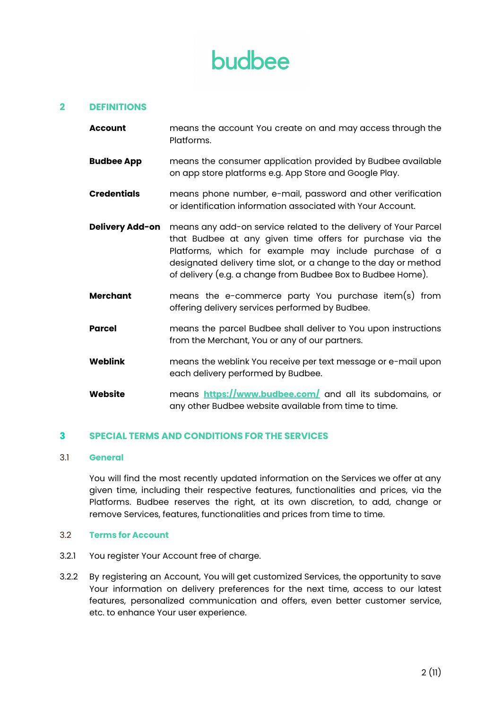### **2 DEFINITIONS**

- **Account** means the account You create on and may access through the Platforms.
- **Budbee App** means the consumer application provided by Budbee available on app store platforms e.g. App Store and Google Play.
- **Credentials** means phone number, e-mail, password and other verification or identification information associated with Your Account.
- **Delivery Add-on** means any add-on service related to the delivery of Your Parcel that Budbee at any given time offers for purchase via the Platforms, which for example may include purchase of a designated delivery time slot, or a change to the day or method of delivery (e.g. a change from Budbee Box to Budbee Home).
- **Merchant** means the e-commerce party You purchase item(s) from offering delivery services performed by Budbee.
- **Parcel** means the parcel Budbee shall deliver to You upon instructions from the Merchant, You or any of our partners.
- **Weblink** means the weblink You receive per text message or e-mail upon each delivery performed by Budbee.
- **Website** means **<https://www.budbee.com/>** and all its subdomains, or any other Budbee website available from time to time.

#### **3 SPECIAL TERMS AND CONDITIONS FOR THE SERVICES**

#### 3.1 **General**

You will find the most recently updated information on the Services we offer at any given time, including their respective features, functionalities and prices, via the Platforms. Budbee reserves the right, at its own discretion, to add, change or remove Services, features, functionalities and prices from time to time.

#### 3.2 **Terms for Account**

- 3.2.1 You register Your Account free of charge.
- 3.2.2 By registering an Account, You will get customized Services, the opportunity to save Your information on delivery preferences for the next time, access to our latest features, personalized communication and offers, even better customer service, etc. to enhance Your user experience.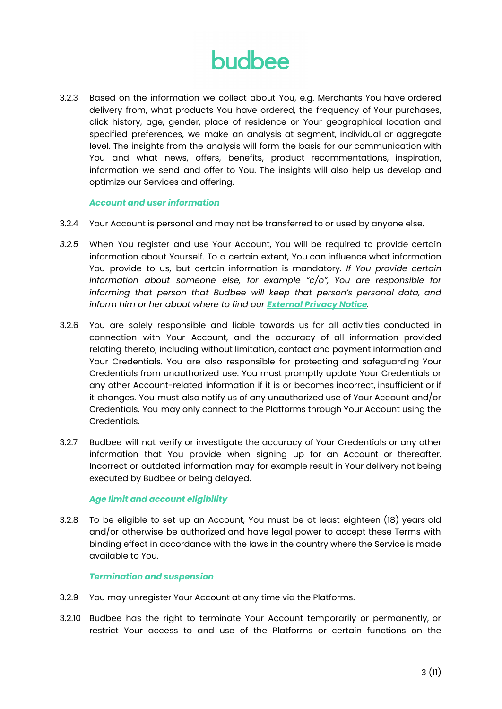3.2.3 Based on the information we collect about You, e.g. Merchants You have ordered delivery from, what products You have ordered, the frequency of Your purchases, click history, age, gender, place of residence or Your geographical location and specified preferences, we make an analysis at segment, individual or aggregate level. The insights from the analysis will form the basis for our communication with You and what news, offers, benefits, product recommentations, inspiration, information we send and offer to You. The insights will also help us develop and optimize our Services and offering.

#### *Account and user information*

- 3.2.4 Your Account is personal and may not be transferred to or used by anyone else.
- *3.2.5* When You register and use Your Account, You will be required to provide certain information about Yourself. To a certain extent, You can influence what information You provide to us, but certain information is mandatory*. If You provide certain information about someone else, for example "c/o", You are responsible for informing that person that Budbee will keep that person's personal data, and inform him or her about where to find our [External](https://budbee.com/en/external-privacy-notice) Privacy Notice.*
- 3.2.6 You are solely responsible and liable towards us for all activities conducted in connection with Your Account, and the accuracy of all information provided relating thereto, including without limitation, contact and payment information and Your Credentials. You are also responsible for protecting and safeguarding Your Credentials from unauthorized use. You must promptly update Your Credentials or any other Account-related information if it is or becomes incorrect, insufficient or if it changes. You must also notify us of any unauthorized use of Your Account and/or Credentials. You may only connect to the Platforms through Your Account using the Credentials.
- 3.2.7 Budbee will not verify or investigate the accuracy of Your Credentials or any other information that You provide when signing up for an Account or thereafter. Incorrect or outdated information may for example result in Your delivery not being executed by Budbee or being delayed.

#### *Age limit and account eligibility*

3.2.8 To be eligible to set up an Account, You must be at least eighteen (18) years old and/or otherwise be authorized and have legal power to accept these Terms with binding effect in accordance with the laws in the country where the Service is made available to You.

#### *Termination and suspension*

- 3.2.9 You may unregister Your Account at any time via the Platforms.
- 3.2.10 Budbee has the right to terminate Your Account temporarily or permanently, or restrict Your access to and use of the Platforms or certain functions on the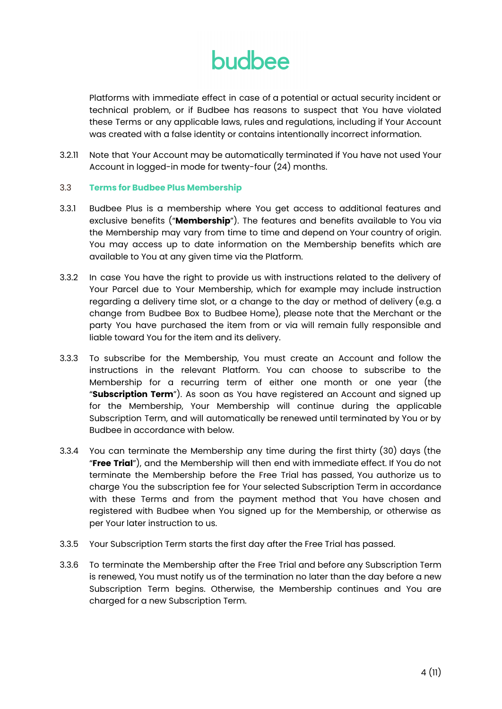Platforms with immediate effect in case of a potential or actual security incident or technical problem, or if Budbee has reasons to suspect that You have violated these Terms or any applicable laws, rules and regulations, including if Your Account was created with a false identity or contains intentionally incorrect information.

3.2.11 Note that Your Account may be automatically terminated if You have not used Your Account in logged-in mode for twenty-four (24) months.

#### 3.3 **Terms for Budbee Plus Membership**

- 3.3.1 Budbee Plus is a membership where You get access to additional features and exclusive benefits ("**Membership**"). The features and benefits available to You via the Membership may vary from time to time and depend on Your country of origin. You may access up to date information on the Membership benefits which are available to You at any given time via the Platform.
- 3.3.2 In case You have the right to provide us with instructions related to the delivery of Your Parcel due to Your Membership, which for example may include instruction regarding a delivery time slot, or a change to the day or method of delivery (e.g. a change from Budbee Box to Budbee Home), please note that the Merchant or the party You have purchased the item from or via will remain fully responsible and liable toward You for the item and its delivery.
- 3.3.3 To subscribe for the Membership, You must create an Account and follow the instructions in the relevant Platform. You can choose to subscribe to the Membership for a recurring term of either one month or one year (the "**Subscription Term**"). As soon as You have registered an Account and signed up for the Membership, Your Membership will continue during the applicable Subscription Term, and will automatically be renewed until terminated by You or by Budbee in accordance with below.
- 3.3.4 You can terminate the Membership any time during the first thirty (30) days (the "**Free Trial**"), and the Membership will then end with immediate effect. If You do not terminate the Membership before the Free Trial has passed, You authorize us to charge You the subscription fee for Your selected Subscription Term in accordance with these Terms and from the payment method that You have chosen and registered with Budbee when You signed up for the Membership, or otherwise as per Your later instruction to us.
- 3.3.5 Your Subscription Term starts the first day after the Free Trial has passed.
- 3.3.6 To terminate the Membership after the Free Trial and before any Subscription Term is renewed, You must notify us of the termination no later than the day before a new Subscription Term begins. Otherwise, the Membership continues and You are charged for a new Subscription Term.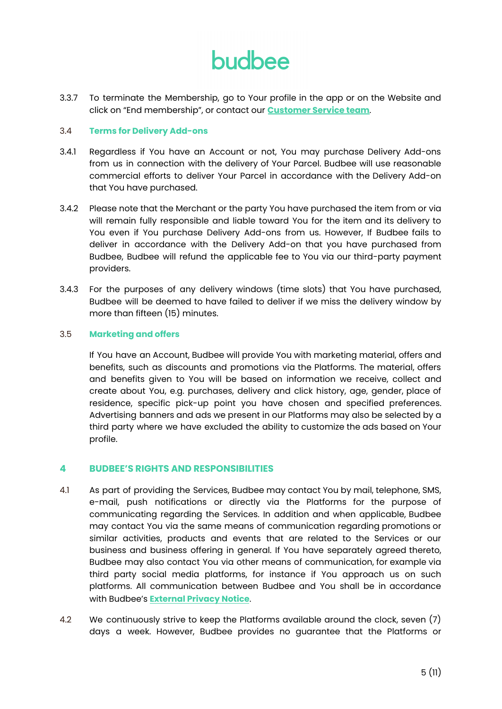3.3.7 To terminate the Membership, go to Your profile in the app or on the Website and click on "End membership", or contact our **[Customer](https://budbee.com/en/customer-service/contact/) Service team**.

#### 3.4 **Terms for Delivery Add-ons**

- 3.4.1 Regardless if You have an Account or not, You may purchase Delivery Add-ons from us in connection with the delivery of Your Parcel. Budbee will use reasonable commercial efforts to deliver Your Parcel in accordance with the Delivery Add-on that You have purchased.
- 3.4.2 Please note that the Merchant or the party You have purchased the item from or via will remain fully responsible and liable toward You for the item and its delivery to You even if You purchase Delivery Add-ons from us. However, If Budbee fails to deliver in accordance with the Delivery Add-on that you have purchased from Budbee, Budbee will refund the applicable fee to You via our third-party payment providers.
- 3.4.3 For the purposes of any delivery windows (time slots) that You have purchased, Budbee will be deemed to have failed to deliver if we miss the delivery window by more than fifteen (15) minutes.

### 3.5 **Marketing and offers**

If You have an Account, Budbee will provide You with marketing material, offers and benefits, such as discounts and promotions via the Platforms. The material, offers and benefits given to You will be based on information we receive, collect and create about You, e.g. purchases, delivery and click history, age, gender, place of residence, specific pick-up point you have chosen and specified preferences. Advertising banners and ads we present in our Platforms may also be selected by a third party where we have excluded the ability to customize the ads based on Your profile.

# **4 BUDBEE'S RIGHTS AND RESPONSIBILITIES**

- 4.1 As part of providing the Services, Budbee may contact You by mail, telephone, SMS, e-mail, push notifications or directly via the Platforms for the purpose of communicating regarding the Services. In addition and when applicable, Budbee may contact You via the same means of communication regarding promotions or similar activities, products and events that are related to the Services or our business and business offering in general. If You have separately agreed thereto, Budbee may also contact You via other means of communication, for example via third party social media platforms, for instance if You approach us on such platforms. All communication between Budbee and You shall be in accordance with Budbee's **[External](https://budbee.com/en/external-privacy-notice) Privacy Notice**.
- 4.2 We continuously strive to keep the Platforms available around the clock, seven (7) days a week. However, Budbee provides no guarantee that the Platforms or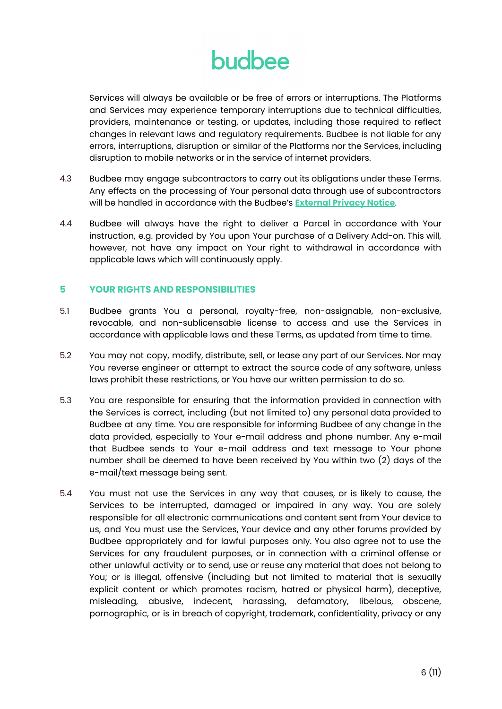Services will always be available or be free of errors or interruptions. The Platforms and Services may experience temporary interruptions due to technical difficulties, providers, maintenance or testing, or updates, including those required to reflect changes in relevant laws and regulatory requirements. Budbee is not liable for any errors, interruptions, disruption or similar of the Platforms nor the Services, including disruption to mobile networks or in the service of internet providers.

- 4.3 Budbee may engage subcontractors to carry out its obligations under these Terms. Any effects on the processing of Your personal data through use of subcontractors will be handled in accordance with the Budbee's **[External](https://budbee.com/en/external-privacy-notice) Privacy Notice**.
- 4.4 Budbee will always have the right to deliver a Parcel in accordance with Your instruction, e.g. provided by You upon Your purchase of a Delivery Add-on. This will, however, not have any impact on Your right to withdrawal in accordance with applicable laws which will continuously apply.

# **5 YOUR RIGHTS AND RESPONSIBILITIES**

- 5.1 Budbee grants You a personal, royalty-free, non-assignable, non-exclusive, revocable, and non-sublicensable license to access and use the Services in accordance with applicable laws and these Terms, as updated from time to time.
- 5.2 You may not copy, modify, distribute, sell, or lease any part of our Services. Nor may You reverse engineer or attempt to extract the source code of any software, unless laws prohibit these restrictions, or You have our written permission to do so.
- 5.3 You are responsible for ensuring that the information provided in connection with the Services is correct, including (but not limited to) any personal data provided to Budbee at any time. You are responsible for informing Budbee of any change in the data provided, especially to Your e-mail address and phone number. Any e-mail that Budbee sends to Your e-mail address and text message to Your phone number shall be deemed to have been received by You within two (2) days of the e-mail/text message being sent.
- 5.4 You must not use the Services in any way that causes, or is likely to cause, the Services to be interrupted, damaged or impaired in any way. You are solely responsible for all electronic communications and content sent from Your device to us, and You must use the Services, Your device and any other forums provided by Budbee appropriately and for lawful purposes only. You also agree not to use the Services for any fraudulent purposes, or in connection with a criminal offense or other unlawful activity or to send, use or reuse any material that does not belong to You; or is illegal, offensive (including but not limited to material that is sexually explicit content or which promotes racism, hatred or physical harm), deceptive, misleading, abusive, indecent, harassing, defamatory, libelous, obscene, pornographic, or is in breach of copyright, trademark, confidentiality, privacy or any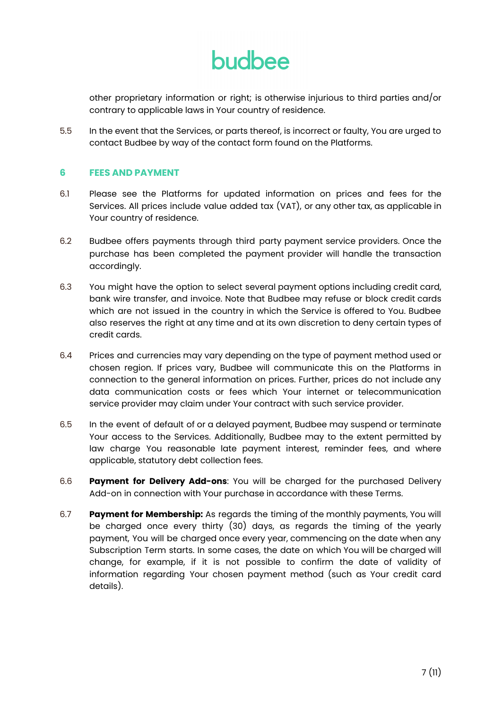other proprietary information or right; is otherwise injurious to third parties and/or contrary to applicable laws in Your country of residence.

5.5 In the event that the Services, or parts thereof, is incorrect or faulty, You are urged to contact Budbee by way of the contact form found on the Platforms.

# **6 FEES AND PAYMENT**

- 6.1 Please see the Platforms for updated information on prices and fees for the Services. All prices include value added tax (VAT), or any other tax, as applicable in Your country of residence.
- 6.2 Budbee offers payments through third party payment service providers. Once the purchase has been completed the payment provider will handle the transaction accordingly.
- 6.3 You might have the option to select several payment options including credit card, bank wire transfer, and invoice. Note that Budbee may refuse or block credit cards which are not issued in the country in which the Service is offered to You. Budbee also reserves the right at any time and at its own discretion to deny certain types of credit cards.
- 6.4 Prices and currencies may vary depending on the type of payment method used or chosen region. If prices vary, Budbee will communicate this on the Platforms in connection to the general information on prices. Further, prices do not include any data communication costs or fees which Your internet or telecommunication service provider may claim under Your contract with such service provider.
- 6.5 In the event of default of or a delayed payment, Budbee may suspend or terminate Your access to the Services. Additionally, Budbee may to the extent permitted by law charge You reasonable late payment interest, reminder fees, and where applicable, statutory debt collection fees.
- 6.6 **Payment for Delivery Add-ons**: You will be charged for the purchased Delivery Add-on in connection with Your purchase in accordance with these Terms.
- 6.7 **Payment for Membership:** As regards the timing of the monthly payments, You will be charged once every thirty (30) days, as regards the timing of the yearly payment, You will be charged once every year, commencing on the date when any Subscription Term starts. In some cases, the date on which You will be charged will change, for example, if it is not possible to confirm the date of validity of information regarding Your chosen payment method (such as Your credit card details).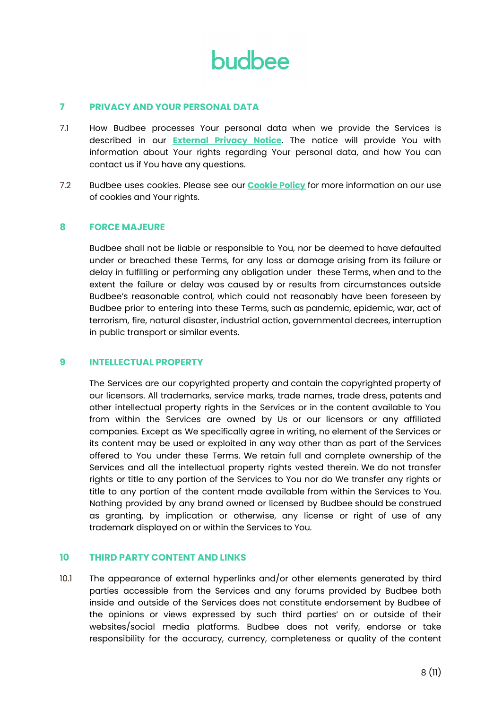

#### **7 PRIVACY AND YOUR PERSONAL DATA**

- 7.1 How Budbee processes Your personal data when we provide the Services is described in our **[External](https://budbee.com/en/external-privacy-notice) Privacy Notice**. The notice will provide You with information about Your rights regarding Your personal data, and how You can contact us if You have any questions.
- 7.2 Budbee uses cookies. Please see our **[Cookie](http://budbee.com/cookie-policy.pdf) Policy** for more information on our use of cookies and Your rights.

### **8 FORCE MAJEURE**

Budbee shall not be liable or responsible to You, nor be deemed to have defaulted under or breached these Terms, for any loss or damage arising from its failure or delay in fulfilling or performing any obligation under these Terms, when and to the extent the failure or delay was caused by or results from circumstances outside Budbee's reasonable control, which could not reasonably have been foreseen by Budbee prior to entering into these Terms, such as pandemic, epidemic, war, act of terrorism, fire, natural disaster, industrial action, governmental decrees, interruption in public transport or similar events.

#### **9 INTELLECTUAL PROPERTY**

The Services are our copyrighted property and contain the copyrighted property of our licensors. All trademarks, service marks, trade names, trade dress, patents and other intellectual property rights in the Services or in the content available to You from within the Services are owned by Us or our licensors or any affiliated companies. Except as We specifically agree in writing, no element of the Services or its content may be used or exploited in any way other than as part of the Services offered to You under these Terms. We retain full and complete ownership of the Services and all the intellectual property rights vested therein. We do not transfer rights or title to any portion of the Services to You nor do We transfer any rights or title to any portion of the content made available from within the Services to You. Nothing provided by any brand owned or licensed by Budbee should be construed as granting, by implication or otherwise, any license or right of use of any trademark displayed on or within the Services to You.

### **10 THIRD PARTY CONTENT AND LINKS**

10.1 The appearance of external hyperlinks and/or other elements generated by third parties accessible from the Services and any forums provided by Budbee both inside and outside of the Services does not constitute endorsement by Budbee of the opinions or views expressed by such third parties' on or outside of their websites/social media platforms. Budbee does not verify, endorse or take responsibility for the accuracy, currency, completeness or quality of the content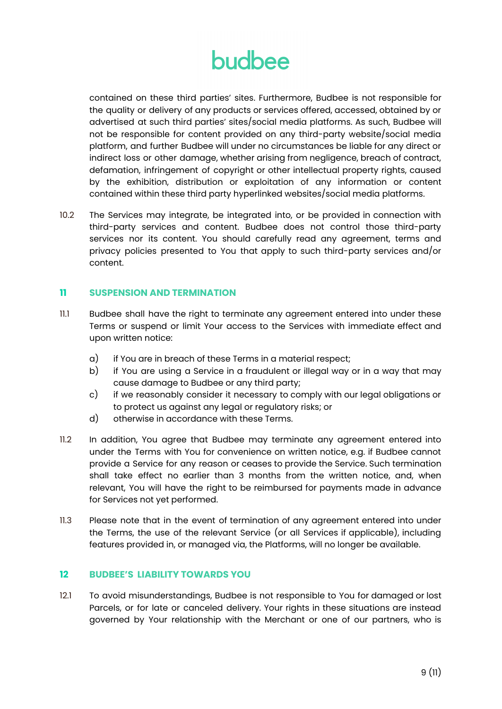contained on these third parties' sites. Furthermore, Budbee is not responsible for the quality or delivery of any products or services offered, accessed, obtained by or advertised at such third parties' sites/social media platforms. As such, Budbee will not be responsible for content provided on any third-party website/social media platform, and further Budbee will under no circumstances be liable for any direct or indirect loss or other damage, whether arising from negligence, breach of contract, defamation, infringement of copyright or other intellectual property rights, caused by the exhibition, distribution or exploitation of any information or content contained within these third party hyperlinked websites/social media platforms.

10.2 The Services may integrate, be integrated into, or be provided in connection with third-party services and content. Budbee does not control those third-party services nor its content. You should carefully read any agreement, terms and privacy policies presented to You that apply to such third-party services and/or content.

# **11 SUSPENSION AND TERMINATION**

- 11.1 Budbee shall have the right to terminate any agreement entered into under these Terms or suspend or limit Your access to the Services with immediate effect and upon written notice:
	- a) if You are in breach of these Terms in a material respect;
	- b) if You are using a Service in a fraudulent or illegal way or in a way that may cause damage to Budbee or any third party;
	- c) if we reasonably consider it necessary to comply with our legal obligations or to protect us against any legal or regulatory risks; or
	- d) otherwise in accordance with these Terms.
- 11.2 In addition, You agree that Budbee may terminate any agreement entered into under the Terms with You for convenience on written notice, e.g. if Budbee cannot provide a Service for any reason or ceases to provide the Service. Such termination shall take effect no earlier than 3 months from the written notice, and, when relevant, You will have the right to be reimbursed for payments made in advance for Services not yet performed.
- 11.3 Please note that in the event of termination of any agreement entered into under the Terms, the use of the relevant Service (or all Services if applicable), including features provided in, or managed via, the Platforms, will no longer be available.

#### **12 BUDBEE'S LIABILITY TOWARDS YOU**

12.1 To avoid misunderstandings, Budbee is not responsible to You for damaged or lost Parcels, or for late or canceled delivery. Your rights in these situations are instead governed by Your relationship with the Merchant or one of our partners, who is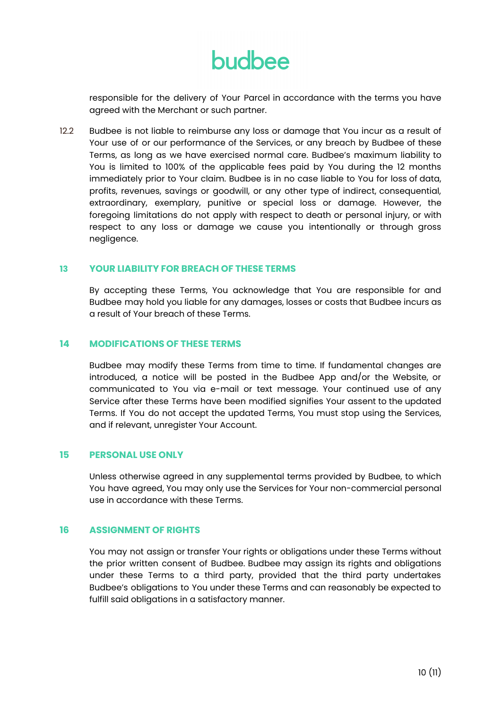responsible for the delivery of Your Parcel in accordance with the terms you have agreed with the Merchant or such partner.

12.2 Budbee is not liable to reimburse any loss or damage that You incur as a result of Your use of or our performance of the Services, or any breach by Budbee of these Terms, as long as we have exercised normal care. Budbee's maximum liability to You is limited to 100% of the applicable fees paid by You during the 12 months immediately prior to Your claim. Budbee is in no case liable to You for loss of data, profits, revenues, savings or goodwill, or any other type of indirect, consequential, extraordinary, exemplary, punitive or special loss or damage. However, the foregoing limitations do not apply with respect to death or personal injury, or with respect to any loss or damage we cause you intentionally or through gross negligence.

### **13 YOUR LIABILITY FOR BREACH OF THESE TERMS**

By accepting these Terms, You acknowledge that You are responsible for and Budbee may hold you liable for any damages, losses or costs that Budbee incurs as a result of Your breach of these Terms.

### **14 MODIFICATIONS OF THESE TERMS**

Budbee may modify these Terms from time to time. If fundamental changes are introduced, a notice will be posted in the Budbee App and/or the Website, or communicated to You via e-mail or text message. Your continued use of any Service after these Terms have been modified signifies Your assent to the updated Terms. If You do not accept the updated Terms, You must stop using the Services, and if relevant, unregister Your Account.

#### **15 PERSONAL USE ONLY**

Unless otherwise agreed in any supplemental terms provided by Budbee, to which You have agreed, You may only use the Services for Your non-commercial personal use in accordance with these Terms.

### **16 ASSIGNMENT OF RIGHTS**

You may not assign or transfer Your rights or obligations under these Terms without the prior written consent of Budbee. Budbee may assign its rights and obligations under these Terms to a third party, provided that the third party undertakes Budbee's obligations to You under these Terms and can reasonably be expected to fulfill said obligations in a satisfactory manner.